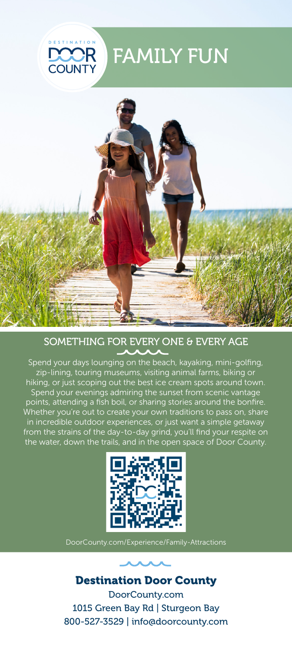

# FAMILY FUN



## SOMETHING FOR EVERY ONE & EVERY AGE

Spend your days lounging on the beach, kayaking, mini-golfing, zip-lining, touring museums, visiting animal farms, biking or hiking, or just scoping out the best ice cream spots around town. Spend your evenings admiring the sunset from scenic vantage points, attending a fish boil, or sharing stories around the bonfire. Whether you're out to create your own traditions to pass on, share in incredible outdoor experiences, or just want a simple getaway from the strains of the day-to-day grind, you'll find your respite on the water, down the trails, and in the open space of Door County.





Destination Door County DoorCounty.com 1015 Green Bay Rd | Sturgeon Bay 800-527-3529 | info@doorcounty.com